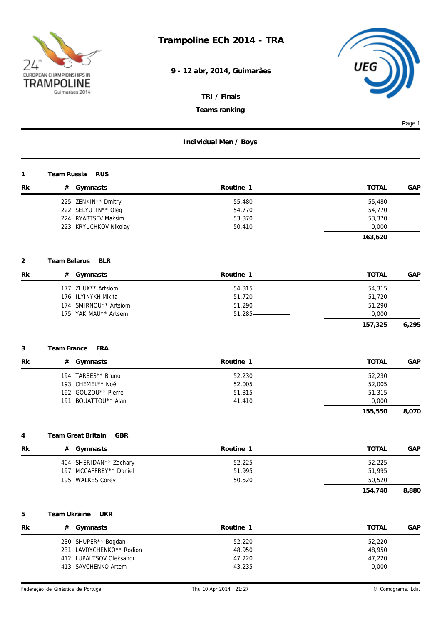

**9 - 12 abr, 2014, Guimarães**



*TRI / Finals*

*Teams ranking*

|                |              |                                                                                                   |                                          |                                                | Page 1 |
|----------------|--------------|---------------------------------------------------------------------------------------------------|------------------------------------------|------------------------------------------------|--------|
|                |              |                                                                                                   | Individual Men / Boys                    |                                                |        |
| 1              | Team Russia  | <b>RUS</b>                                                                                        |                                          |                                                |        |
| Rk             |              | # Gymnasts                                                                                        | Routine 1                                | <b>TOTAL</b>                                   | GAP    |
|                |              | 225 ZENKIN** Dmitry<br>222 SELYUTIN** Oleg<br>224 RYABTSEV Maksim<br>223 KRYUCHKOV Nikolay        | 55,480<br>54,770<br>53,370<br>$50,410 -$ | 55,480<br>54,770<br>53,370<br>0,000<br>163,620 |        |
| $\overline{2}$ | Team Belarus | <b>BLR</b>                                                                                        |                                          |                                                |        |
| Rk             |              | # Gymnasts                                                                                        | Routine 1                                | <b>TOTAL</b>                                   | GAP    |
|                |              | 177 ZHUK** Artsiom<br>176 ILYINYKH Mikita<br>174 SMIRNOU** Artsiom<br>175 YAKIMAU** Artsem        | 54,315<br>51,720<br>51,290<br>51,285-    | 54,315<br>51,720<br>51,290<br>0,000            |        |
|                |              |                                                                                                   |                                          | 157,325                                        | 6,295  |
| 3              | Team France  | <b>FRA</b>                                                                                        |                                          |                                                |        |
| Rk             | #            | Gymnasts                                                                                          | Routine 1                                | <b>TOTAL</b>                                   | GAP    |
|                |              | 194 TARBES** Bruno<br>193 CHEMEL** Noé<br>192 GOUZOU** Pierre<br>191 BOUATTOU** Alan              | 52,230<br>52,005<br>51,315<br>41,410-    | 52,230<br>52,005<br>51,315<br>0,000<br>155,550 | 8,070  |
|                |              |                                                                                                   |                                          |                                                |        |
| 4              |              | Team Great Britain<br>GBR                                                                         |                                          |                                                |        |
| Rk             | #            | Gymnasts                                                                                          | Routine 1                                | <b>TOTAL</b>                                   | GAP    |
|                |              | 404 SHERIDAN** Zachary<br>197 MCCAFFREY** Daniel<br>195 WALKES Corey                              | 52,225<br>51,995<br>50,520               | 52,225<br>51,995<br>50,520<br>154,740          | 8,880  |
|                |              |                                                                                                   |                                          |                                                |        |
| 5              | Team Ukraine | <b>UKR</b>                                                                                        |                                          |                                                |        |
| Rk             |              | # Gymnasts                                                                                        | Routine 1                                | <b>TOTAL</b>                                   | GAP    |
|                |              | 230 SHUPER** Bogdan<br>231 LAVRYCHENKO** Rodion<br>412 LUPALTSOV Oleksandr<br>413 SAVCHENKO Artem | 52,220<br>48,950<br>47,220<br>43,235-    | 52,220<br>48,950<br>47,220<br>0,000            |        |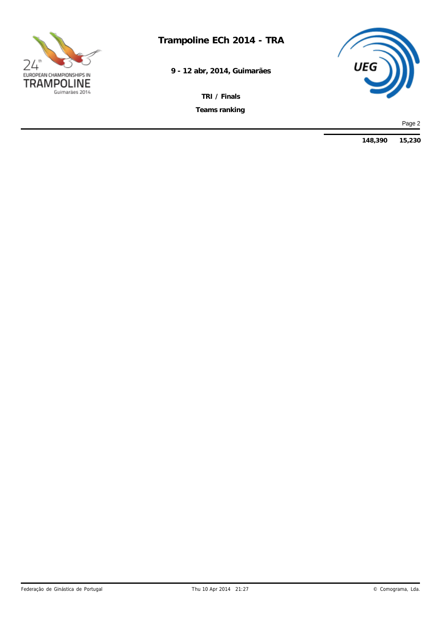

**Trampoline ECh 2014 - TRA**

**9 - 12 abr, 2014, Guimarães**

*Teams ranking TRI / Finals*



Page 2

**148,390 15,230**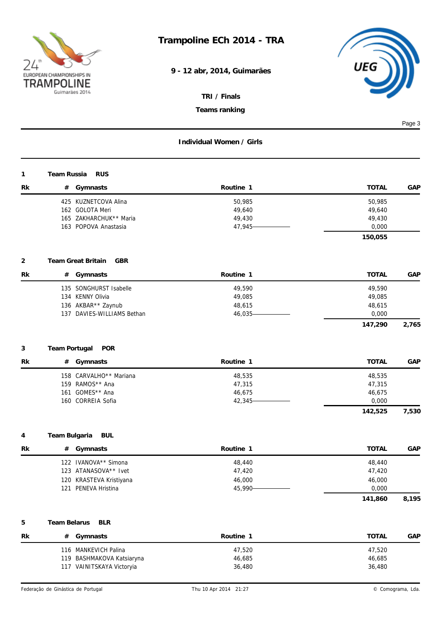

**9 - 12 abr, 2014, Guimarães**



*TRI / Finals*

*Teams ranking*

|    |               |                                                                                                |                                         |                                                | Page 3 |
|----|---------------|------------------------------------------------------------------------------------------------|-----------------------------------------|------------------------------------------------|--------|
|    |               |                                                                                                | Individual Women / Girls                |                                                |        |
| 1  | Team Russia   | <b>RUS</b>                                                                                     |                                         |                                                |        |
| Rk |               | # Gymnasts                                                                                     | Routine 1                               | <b>TOTAL</b>                                   | GAP    |
|    |               | 425 KUZNETCOVA Alina<br>162 GOLOTA Meri<br>165 ZAKHARCHUK** Maria<br>163 POPOVA Anastasia      | 50,985<br>49,640<br>49,430<br>47,945-   | 50,985<br>49,640<br>49,430<br>0,000<br>150,055 |        |
| 2  |               | Team Great Britain<br><b>GBR</b>                                                               |                                         |                                                |        |
| Rk |               | # Gymnasts                                                                                     | Routine 1                               | <b>TOTAL</b>                                   | GAP    |
|    |               | 135 SONGHURST Isabelle<br>134 KENNY Olivia<br>136 AKBAR** Zaynub<br>137 DAVIES-WILLIAMS Bethan | 49,590<br>49,085<br>48,615<br>46,035-   | 49,590<br>49,085<br>48,615<br>0,000<br>147,290 | 2,765  |
|    |               |                                                                                                |                                         |                                                |        |
| 3  | Team Portugal | POR                                                                                            |                                         |                                                |        |
| Rk |               | # Gymnasts                                                                                     | Routine 1                               | <b>TOTAL</b>                                   | GAP    |
|    |               | 158 CARVALHO** Mariana<br>159 RAMOS** Ana<br>161 GOMES** Ana<br>160 CORREIA Sofia              | 48,535<br>47,315<br>46,675<br>42,345-   | 48,535<br>47,315<br>46,675<br>0,000            |        |
|    |               |                                                                                                |                                         | 142,525                                        | 7,530  |
| 4  | Team Bulgaria | <b>BUL</b>                                                                                     |                                         |                                                |        |
| Rk |               | # Gymnasts                                                                                     | Routine 1                               | <b>TOTAL</b>                                   | GAP    |
|    |               | 122 IVANOVA** Simona<br>123 ATANASOVA** Ivet<br>120 KRASTEVA Kristiyana<br>121 PENEVA Hristina | 48,440<br>47,420<br>46,000<br>45,990-   | 48,440<br>47,420<br>46,000<br>0,000<br>141,860 | 8,195  |
|    |               |                                                                                                |                                         |                                                |        |
| 5  | Team Belarus  | <b>BLR</b>                                                                                     |                                         |                                                |        |
| Rk | #             | Gymnasts<br>116 MANKEVICH Palina<br>119 BASHMAKOVA Katsiaryna<br>117 VAINITSKAYA Victoryia     | Routine 1<br>47,520<br>46,685<br>36,480 | <b>TOTAL</b><br>47,520<br>46,685<br>36,480     | GAP    |